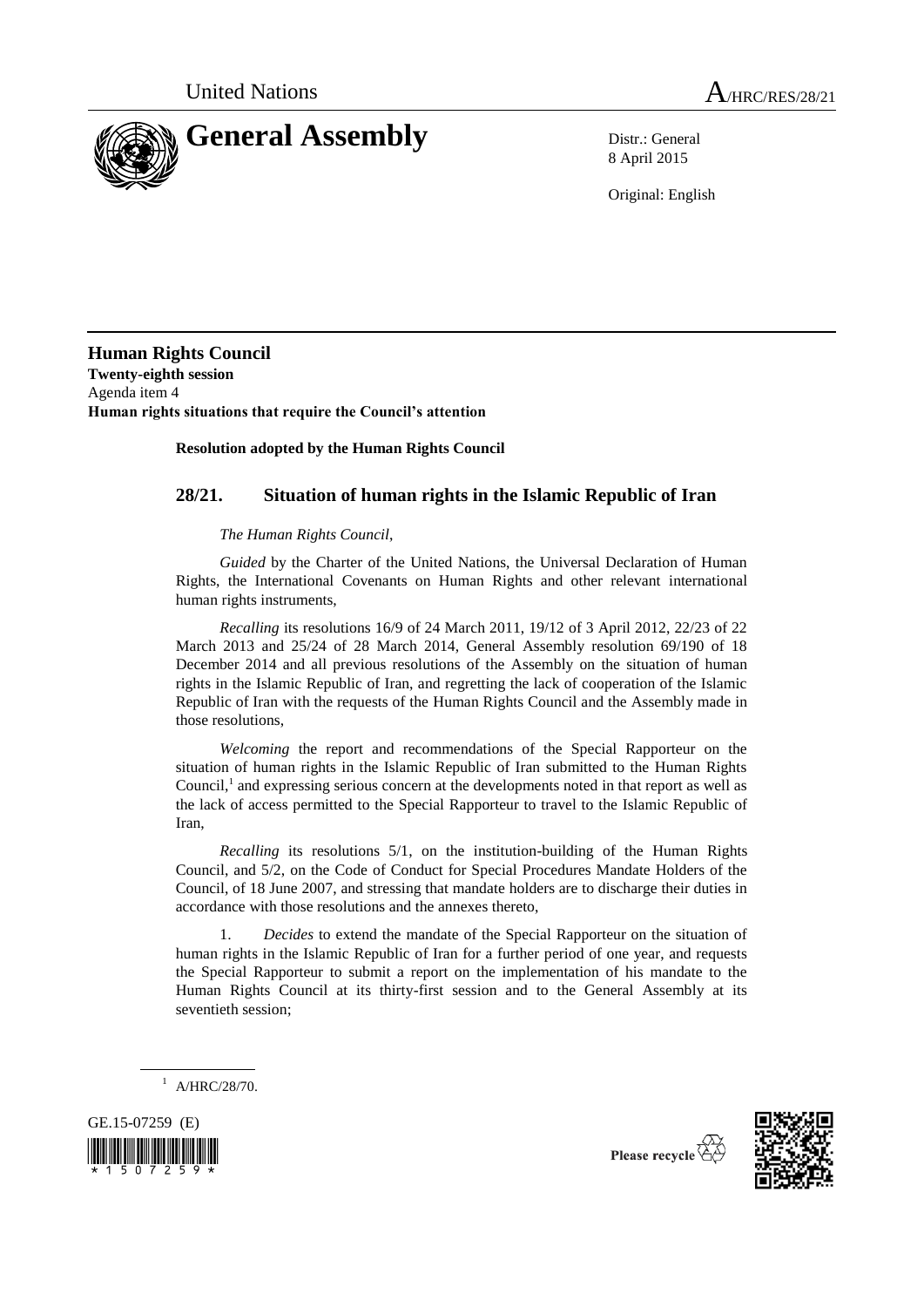

8 April 2015

Original: English

**Human Rights Council Twenty-eighth session** Agenda item 4 **Human rights situations that require the Council's attention**

## **Resolution adopted by the Human Rights Council**

# **28/21. Situation of human rights in the Islamic Republic of Iran**

### *The Human Rights Council*,

*Guided* by the Charter of the United Nations, the Universal Declaration of Human Rights, the International Covenants on Human Rights and other relevant international human rights instruments,

*Recalling* its resolutions 16/9 of 24 March 2011, 19/12 of 3 April 2012, 22/23 of 22 March 2013 and 25/24 of 28 March 2014, General Assembly resolution 69/190 of 18 December 2014 and all previous resolutions of the Assembly on the situation of human rights in the Islamic Republic of Iran, and regretting the lack of cooperation of the Islamic Republic of Iran with the requests of the Human Rights Council and the Assembly made in those resolutions,

*Welcoming* the report and recommendations of the Special Rapporteur on the situation of human rights in the Islamic Republic of Iran submitted to the Human Rights Council,<sup>1</sup> and expressing serious concern at the developments noted in that report as well as the lack of access permitted to the Special Rapporteur to travel to the Islamic Republic of Iran,

*Recalling* its resolutions 5/1, on the institution-building of the Human Rights Council, and 5/2, on the Code of Conduct for Special Procedures Mandate Holders of the Council, of 18 June 2007, and stressing that mandate holders are to discharge their duties in accordance with those resolutions and the annexes thereto,

1. *Decides* to extend the mandate of the Special Rapporteur on the situation of human rights in the Islamic Republic of Iran for a further period of one year, and requests the Special Rapporteur to submit a report on the implementation of his mandate to the Human Rights Council at its thirty-first session and to the General Assembly at its seventieth session;

 $1$  A/HRC/28/70.